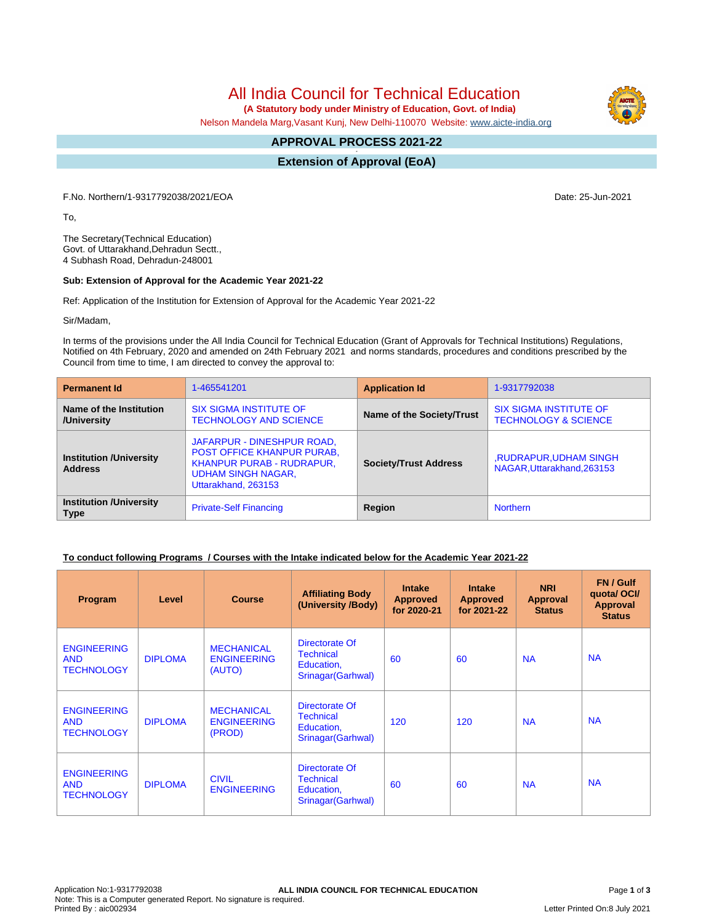# All India Council for Technical Education

 **(A Statutory body under Ministry of Education, Govt. of India)**

Nelson Mandela Marg,Vasant Kunj, New Delhi-110070 Website: [www.aicte-india.org](http://www.aicte-india.org)

#### **APPROVAL PROCESS 2021-22 -**

**Extension of Approval (EoA)**

F.No. Northern/1-9317792038/2021/EOA Date: 25-Jun-2021

To,

The Secretary(Technical Education) Govt. of Uttarakhand,Dehradun Sectt., 4 Subhash Road, Dehradun-248001

#### **Sub: Extension of Approval for the Academic Year 2021-22**

Ref: Application of the Institution for Extension of Approval for the Academic Year 2021-22

Sir/Madam,

In terms of the provisions under the All India Council for Technical Education (Grant of Approvals for Technical Institutions) Regulations, Notified on 4th February, 2020 and amended on 24th February 2021 and norms standards, procedures and conditions prescribed by the Council from time to time, I am directed to convey the approval to:

| <b>Permanent Id</b>                              | 1-465541201                                                                                                                                      | <b>Application Id</b>        | 1-9317792038                                                     |  |
|--------------------------------------------------|--------------------------------------------------------------------------------------------------------------------------------------------------|------------------------------|------------------------------------------------------------------|--|
| Name of the Institution<br>/University           | <b>SIX SIGMA INSTITUTE OF</b><br><b>TECHNOLOGY AND SCIENCE</b>                                                                                   | Name of the Society/Trust    | <b>SIX SIGMA INSTITUTE OF</b><br><b>TECHNOLOGY &amp; SCIENCE</b> |  |
| <b>Institution /University</b><br><b>Address</b> | JAFARPUR - DINESHPUR ROAD,<br><b>POST OFFICE KHANPUR PURAB,</b><br>KHANPUR PURAB - RUDRAPUR,<br><b>UDHAM SINGH NAGAR,</b><br>Uttarakhand, 263153 | <b>Society/Trust Address</b> | <b>RUDRAPUR, UDHAM SINGH</b><br>NAGAR.Uttarakhand.263153         |  |
| <b>Institution /University</b><br><b>Type</b>    | <b>Private-Self Financing</b>                                                                                                                    | Region                       | <b>Northern</b>                                                  |  |

### **To conduct following Programs / Courses with the Intake indicated below for the Academic Year 2021-22**

| Program                                               | Level          | <b>Course</b>                                     | <b>Affiliating Body</b><br>(University /Body)                          | <b>Intake</b><br><b>Approved</b><br>for 2020-21 | <b>Intake</b><br><b>Approved</b><br>for 2021-22 | <b>NRI</b><br>Approval<br><b>Status</b> | FN / Gulf<br>quotal OCI/<br><b>Approval</b><br><b>Status</b> |
|-------------------------------------------------------|----------------|---------------------------------------------------|------------------------------------------------------------------------|-------------------------------------------------|-------------------------------------------------|-----------------------------------------|--------------------------------------------------------------|
| <b>ENGINEERING</b><br><b>AND</b><br><b>TECHNOLOGY</b> | <b>DIPLOMA</b> | <b>MECHANICAL</b><br><b>ENGINEERING</b><br>(AUTO) | Directorate Of<br><b>Technical</b><br>Education,<br>Srinagar (Garhwal) | 60                                              | 60                                              | <b>NA</b>                               | <b>NA</b>                                                    |
| <b>ENGINEERING</b><br><b>AND</b><br><b>TECHNOLOGY</b> | <b>DIPLOMA</b> | <b>MECHANICAL</b><br><b>ENGINEERING</b><br>(PROD) | Directorate Of<br><b>Technical</b><br>Education,<br>Srinagar (Garhwal) | 120                                             | 120                                             | <b>NA</b>                               | <b>NA</b>                                                    |
| <b>ENGINEERING</b><br><b>AND</b><br><b>TECHNOLOGY</b> | <b>DIPLOMA</b> | <b>CIVIL</b><br><b>ENGINEERING</b>                | Directorate Of<br>Technical<br>Education,<br>Srinagar (Garhwal)        | 60                                              | 60                                              | <b>NA</b>                               | <b>NA</b>                                                    |

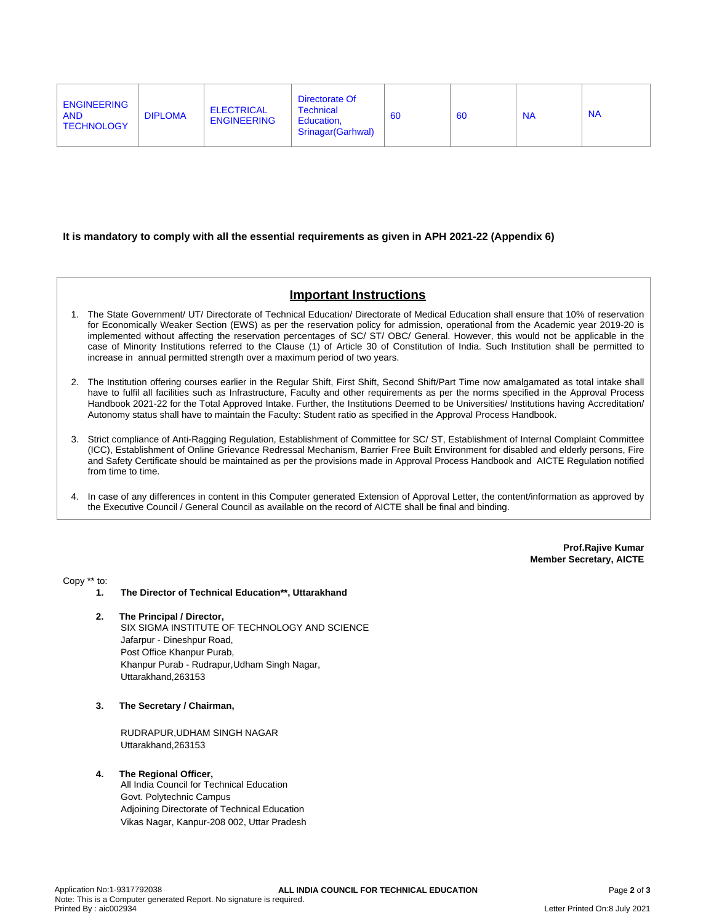| Directorate Of<br><b>ENGINEERING</b><br><b>ELECTRICAL</b><br><b>Technical</b><br><b>NA</b><br><b>DIPLOMA</b><br><b>AND</b><br>60<br><b>NA</b><br>60<br><b>ENGINEERING</b><br>Education.<br><b>TECHNOLOGY</b><br>Srinagar (Garhwal) |
|------------------------------------------------------------------------------------------------------------------------------------------------------------------------------------------------------------------------------------|
|------------------------------------------------------------------------------------------------------------------------------------------------------------------------------------------------------------------------------------|

#### **It is mandatory to comply with all the essential requirements as given in APH 2021-22 (Appendix 6)**

# **Important Instructions**

- 1. The State Government/ UT/ Directorate of Technical Education/ Directorate of Medical Education shall ensure that 10% of reservation for Economically Weaker Section (EWS) as per the reservation policy for admission, operational from the Academic year 2019-20 is implemented without affecting the reservation percentages of SC/ ST/ OBC/ General. However, this would not be applicable in the case of Minority Institutions referred to the Clause (1) of Article 30 of Constitution of India. Such Institution shall be permitted to increase in annual permitted strength over a maximum period of two years.
- 2. The Institution offering courses earlier in the Regular Shift, First Shift, Second Shift/Part Time now amalgamated as total intake shall have to fulfil all facilities such as Infrastructure, Faculty and other requirements as per the norms specified in the Approval Process Handbook 2021-22 for the Total Approved Intake. Further, the Institutions Deemed to be Universities/ Institutions having Accreditation/ Autonomy status shall have to maintain the Faculty: Student ratio as specified in the Approval Process Handbook.
- 3. Strict compliance of Anti-Ragging Regulation, Establishment of Committee for SC/ ST, Establishment of Internal Complaint Committee (ICC), Establishment of Online Grievance Redressal Mechanism, Barrier Free Built Environment for disabled and elderly persons, Fire and Safety Certificate should be maintained as per the provisions made in Approval Process Handbook and AICTE Regulation notified from time to time.
- 4. In case of any differences in content in this Computer generated Extension of Approval Letter, the content/information as approved by the Executive Council / General Council as available on the record of AICTE shall be final and binding.

**Prof.Rajive Kumar Member Secretary, AICTE**

Copy \*\* to:

- **1. The Director of Technical Education\*\*, Uttarakhand**
- **2. The Principal / Director,** SIX SIGMA INSTITUTE OF TECHNOLOGY AND SCIENCE Jafarpur - Dineshpur Road, Post Office Khanpur Purab, Khanpur Purab - Rudrapur,Udham Singh Nagar, Uttarakhand,263153
- **3. The Secretary / Chairman,**

RUDRAPUR,UDHAM SINGH NAGAR Uttarakhand,263153

**4. The Regional Officer,**

All India Council for Technical Education Govt. Polytechnic Campus Adjoining Directorate of Technical Education Vikas Nagar, Kanpur-208 002, Uttar Pradesh